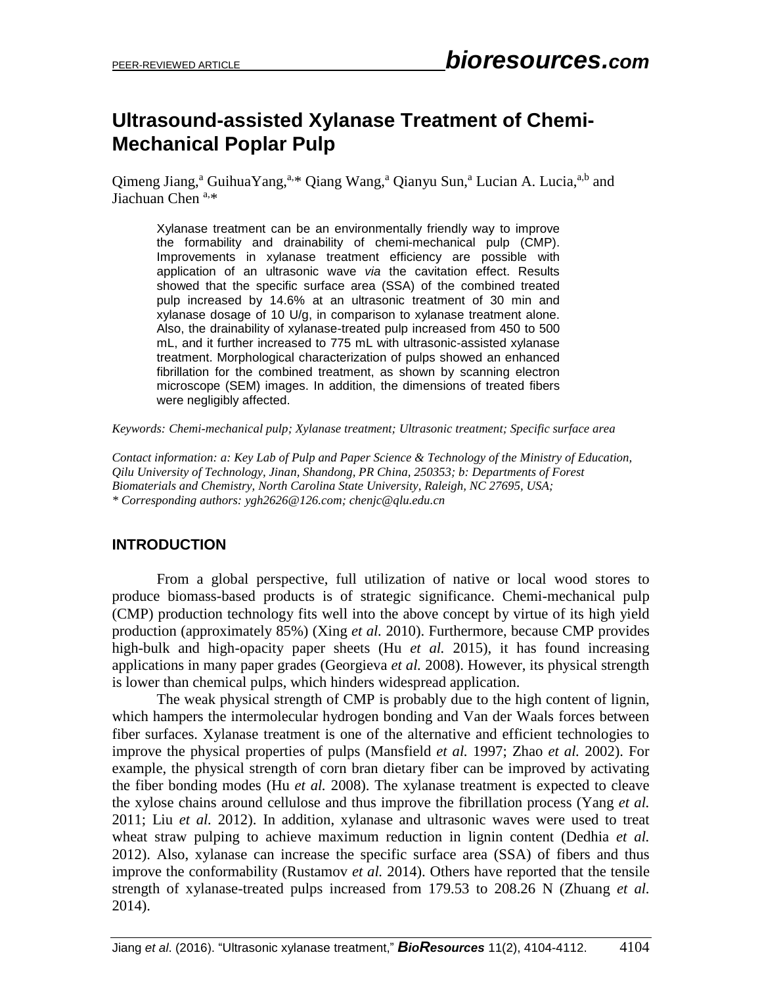# **Ultrasound-assisted Xylanase Treatment of Chemi-Mechanical Poplar Pulp**

Qimeng Jiang,<sup>a</sup> GuihuaYang,<sup>a,\*</sup> Qiang Wang,<sup>a</sup> Qianyu Sun,<sup>a</sup> Lucian A. Lucia,<sup>a,b</sup> and Jiachuan Chen  $a, *$ 

Xylanase treatment can be an environmentally friendly way to improve the formability and drainability of chemi-mechanical pulp (CMP). Improvements in xylanase treatment efficiency are possible with application of an ultrasonic wave *via* the cavitation effect. Results showed that the specific surface area (SSA) of the combined treated pulp increased by 14.6% at an ultrasonic treatment of 30 min and xylanase dosage of 10 U/g, in comparison to xylanase treatment alone. Also, the drainability of xylanase-treated pulp increased from 450 to 500 mL, and it further increased to 775 mL with ultrasonic-assisted xylanase treatment. Morphological characterization of pulps showed an enhanced fibrillation for the combined treatment, as shown by scanning electron microscope (SEM) images. In addition, the dimensions of treated fibers were negligibly affected.

*Keywords: Chemi-mechanical pulp; Xylanase treatment; Ultrasonic treatment; Specific surface area*

*Contact information: a: Key Lab of Pulp and Paper Science & Technology of the Ministry of Education, Qilu University of Technology, Jinan, Shandong, PR China, 250353; b: Departments of Forest Biomaterials and Chemistry, North Carolina State University, Raleigh, NC 27695, USA; \* Corresponding authors: ygh2626@126.com[; chenjc@qlu.edu.cn](mailto:chenjc@qlu.edu.cn)*

#### **INTRODUCTION**

From a global perspective, full utilization of native or local wood stores to produce biomass-based products is of strategic significance. Chemi-mechanical pulp (CMP) production technology fits well into the above concept by virtue of its high yield production (approximately 85%) (Xing *et al.* 2010). Furthermore, because CMP provides high-bulk and high-opacity paper sheets (Hu *et al.* 2015), it has found increasing applications in many paper grades (Georgieva *et al.* 2008). However, its physical strength is lower than chemical pulps, which hinders widespread application.

The weak physical strength of CMP is probably due to the high content of lignin, which hampers the intermolecular hydrogen bonding and Van der Waals forces between fiber surfaces. Xylanase treatment is one of the alternative and efficient technologies to improve the physical properties of pulps (Mansfield *et al.* 1997; Zhao *et al.* 2002). For example, the physical strength of corn bran dietary fiber can be improved by activating the fiber bonding modes (Hu *et al.* 2008). The xylanase treatment is expected to cleave the xylose chains around cellulose and thus improve the fibrillation process (Yang *et al.* 2011; Liu *et al.* 2012). In addition, xylanase and ultrasonic waves were used to treat wheat straw pulping to achieve maximum reduction in lignin content (Dedhia *et al.* 2012). Also, xylanase can increase the specific surface area (SSA) of fibers and thus improve the conformability (Rustamov *et al.* 2014). Others have reported that the tensile strength of xylanase-treated pulps increased from 179.53 to 208.26 N (Zhuang *et al.* 2014).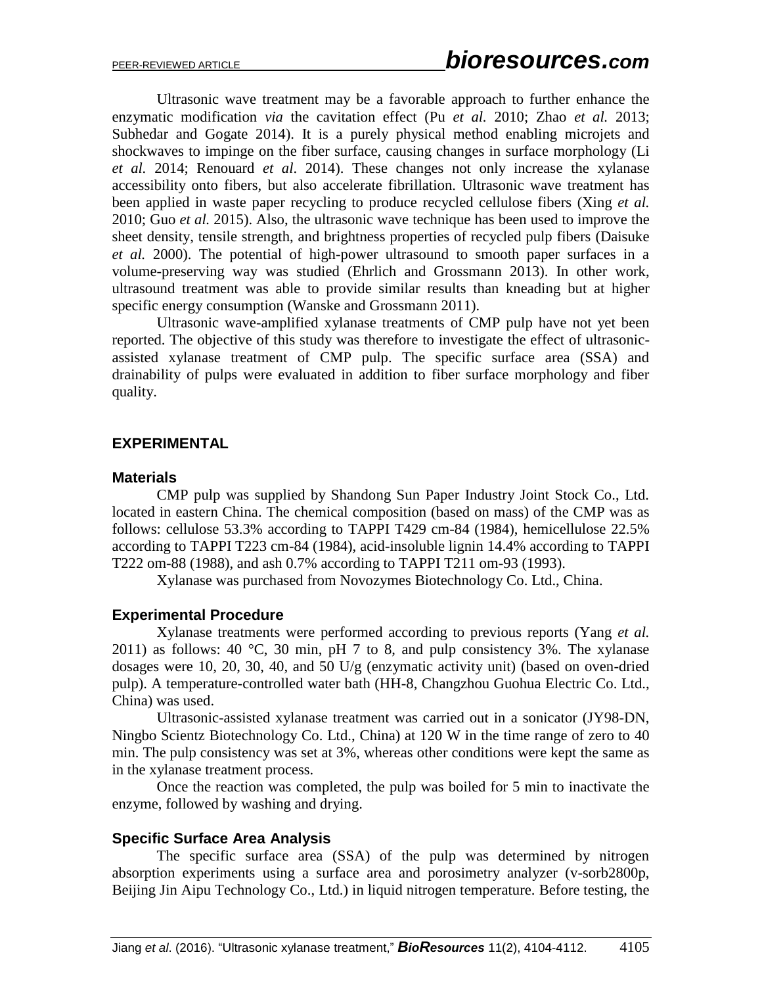Ultrasonic wave treatment may be a favorable approach to further enhance the enzymatic modification *via* the cavitation effect (Pu *et al.* 2010; Zhao *et al.* 2013; Subhedar and Gogate 2014). It is a purely physical method enabling microjets and shockwaves to impinge on the fiber surface, causing changes in surface morphology (Li *et al.* 2014; Renouard *et al*. 2014). These changes not only increase the xylanase accessibility onto fibers, but also accelerate fibrillation. Ultrasonic wave treatment has been applied in waste paper recycling to produce recycled cellulose fibers (Xing *et al.* 2010; Guo *et al.* 2015). Also, the ultrasonic wave technique has been used to improve the sheet density, tensile strength, and brightness properties of recycled pulp fibers (Daisuke *et al.* 2000). The potential of high-power ultrasound to smooth paper surfaces in a volume-preserving way was studied (Ehrlich and Grossmann 2013). In other work, ultrasound treatment was able to provide similar results than kneading but at higher specific energy consumption (Wanske and Grossmann 2011).

Ultrasonic wave-amplified xylanase treatments of CMP pulp have not yet been reported. The objective of this study was therefore to investigate the effect of ultrasonicassisted xylanase treatment of CMP pulp. The specific surface area (SSA) and drainability of pulps were evaluated in addition to fiber surface morphology and fiber quality.

#### **EXPERIMENTAL**

#### **Materials**

CMP pulp was supplied by Shandong Sun Paper Industry Joint Stock Co., Ltd. located in eastern China. The chemical composition (based on mass) of the CMP was as follows: cellulose 53.3% according to TAPPI T429 cm-84 (1984), hemicellulose 22.5% according to TAPPI T223 cm-84 (1984), acid-insoluble lignin 14.4% according to TAPPI T222 om-88 (1988), and ash 0.7% according to TAPPI T211 om-93 (1993).

Xylanase was purchased from Novozymes Biotechnology Co. Ltd., China.

#### **Experimental Procedure**

Xylanase treatments were performed according to previous reports (Yang *et al.* 2011) as follows: 40  $\degree$ C, 30 min, pH 7 to 8, and pulp consistency 3%. The xylanase dosages were 10, 20, 30, 40, and 50 U/g (enzymatic activity unit) (based on oven-dried pulp). A temperature-controlled water bath (HH-8, Changzhou Guohua Electric Co. Ltd., China) was used.

Ultrasonic-assisted xylanase treatment was carried out in a sonicator (JY98-DN, Ningbo Scientz Biotechnology Co. Ltd., China) at 120 W in the time range of zero to 40 min. The pulp consistency was set at 3%, whereas other conditions were kept the same as in the xylanase treatment process.

Once the reaction was completed, the pulp was boiled for 5 min to inactivate the enzyme, followed by washing and drying.

#### **Specific Surface Area Analysis**

The specific surface area (SSA) of the pulp was determined by nitrogen absorption experiments using a surface area and porosimetry analyzer (v-sorb2800p, Beijing Jin Aipu Technology Co., Ltd.) in liquid nitrogen temperature. Before testing, the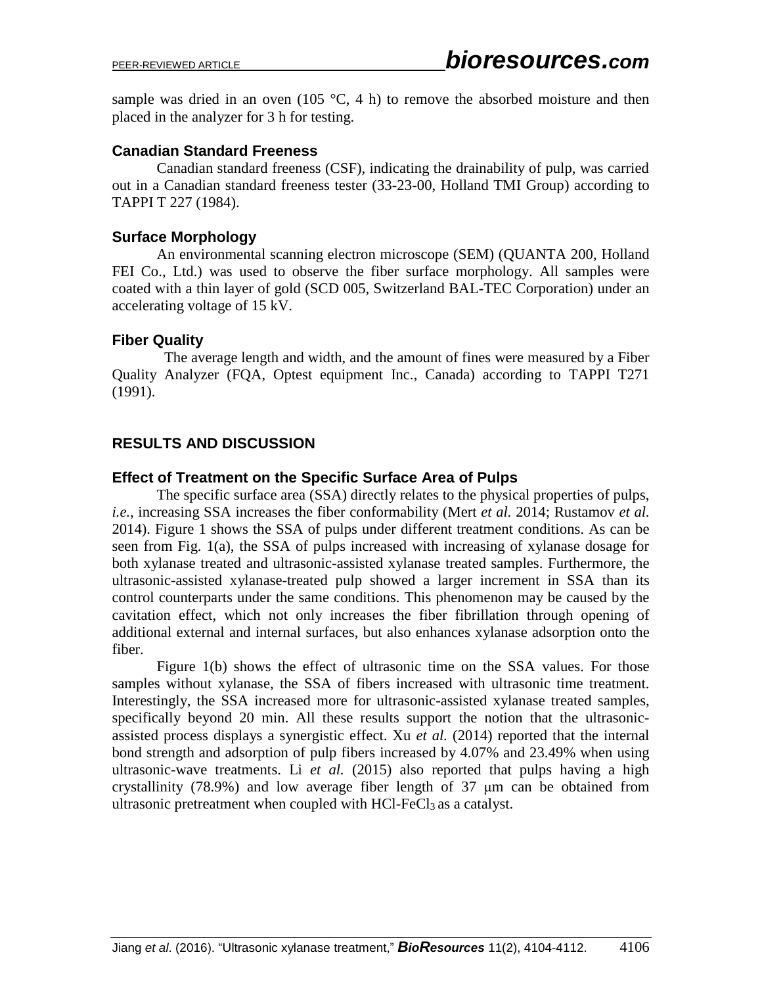sample was dried in an oven (105  $\degree$ C, 4 h) to remove the absorbed moisture and then placed in the analyzer for 3 h for testing.

## **Canadian Standard Freeness**

Canadian standard freeness (CSF), indicating the drainability of pulp, was carried out in a Canadian standard freeness tester (33-23-00, Holland TMI Group) according to TAPPI T 227 (1984).

## **Surface Morphology**

An environmental scanning electron microscope (SEM) (QUANTA 200, Holland FEI Co., Ltd.) was used to observe the fiber surface morphology. All samples were coated with a thin layer of gold (SCD 005, Switzerland BAL-TEC Corporation) under an accelerating voltage of 15 kV.

#### **Fiber Quality**

The average length and width, and the amount of fines were measured by a Fiber Quality Analyzer (FQA, Optest equipment Inc., Canada) according to TAPPI T271 (1991).

## **RESULTS AND DISCUSSION**

#### **Effect of Treatment on the Specific Surface Area of Pulps**

The specific surface area (SSA) directly relates to the physical properties of pulps, *i.e.*, increasing SSA increases the fiber conformability (Mert *et al.* 2014; Rustamov *et al.* 2014). Figure 1 shows the SSA of pulps under different treatment conditions. As can be seen from Fig. 1(a), the SSA of pulps increased with increasing of xylanase dosage for both xylanase treated and ultrasonic-assisted xylanase treated samples. Furthermore, the ultrasonic-assisted xylanase-treated pulp showed a larger increment in SSA than its control counterparts under the same conditions. This phenomenon may be caused by the cavitation effect, which not only increases the fiber fibrillation through opening of additional external and internal surfaces, but also enhances xylanase adsorption onto the fiber.

Figure 1(b) shows the effect of ultrasonic time on the SSA values. For those samples without xylanase, the SSA of fibers increased with ultrasonic time treatment. Interestingly, the SSA increased more for ultrasonic-assisted xylanase treated samples, specifically beyond 20 min. All these results support the notion that the ultrasonicassisted process displays a synergistic effect. Xu *et al.* (2014) reported that the internal bond strength and adsorption of pulp fibers increased by 4.07% and 23.49% when using ultrasonic-wave treatments. Li *et al.* (2015) also reported that pulps having a high crystallinity (78.9%) and low average fiber length of 37 μm can be obtained from ultrasonic pretreatment when coupled with HCl-FeCl<sub>3</sub> as a catalyst.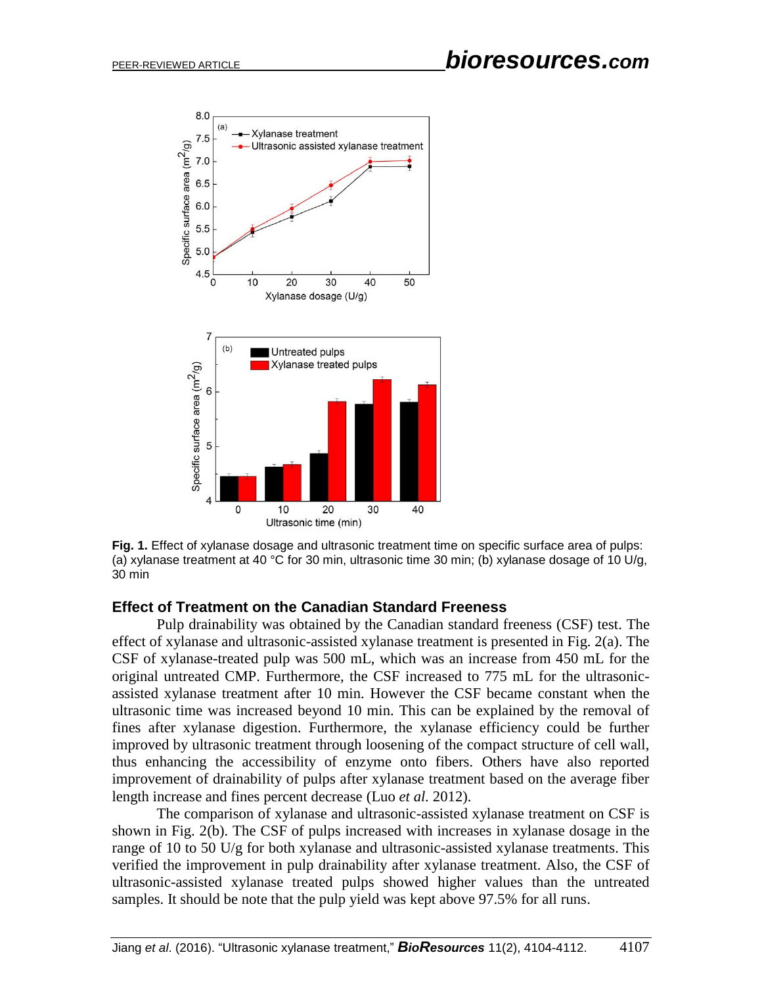

**Fig. 1.** Effect of xylanase dosage and ultrasonic treatment time on specific surface area of pulps: (a) xylanase treatment at 40 °C for 30 min, ultrasonic time 30 min; (b) xylanase dosage of 10 U/g, 30 min

#### **Effect of Treatment on the Canadian Standard Freeness**

Pulp drainability was obtained by the Canadian standard freeness (CSF) test. The effect of xylanase and ultrasonic-assisted xylanase treatment is presented in Fig. 2(a). The CSF of xylanase-treated pulp was 500 mL, which was an increase from 450 mL for the original untreated CMP. Furthermore, the CSF increased to 775 mL for the ultrasonicassisted xylanase treatment after 10 min. However the CSF became constant when the ultrasonic time was increased beyond 10 min. This can be explained by the removal of fines after xylanase digestion. Furthermore, the xylanase efficiency could be further improved by ultrasonic treatment through loosening of the compact structure of cell wall, thus enhancing the accessibility of enzyme onto fibers. Others have also reported improvement of drainability of pulps after xylanase treatment based on the average fiber length increase and fines percent decrease (Luo *et al.* 2012).

The comparison of xylanase and ultrasonic-assisted xylanase treatment on CSF is shown in Fig. 2(b). The CSF of pulps increased with increases in xylanase dosage in the range of 10 to 50 U/g for both xylanase and ultrasonic-assisted xylanase treatments. This verified the improvement in pulp drainability after xylanase treatment. Also, the CSF of ultrasonic-assisted xylanase treated pulps showed higher values than the untreated samples. It should be note that the pulp yield was kept above 97.5% for all runs.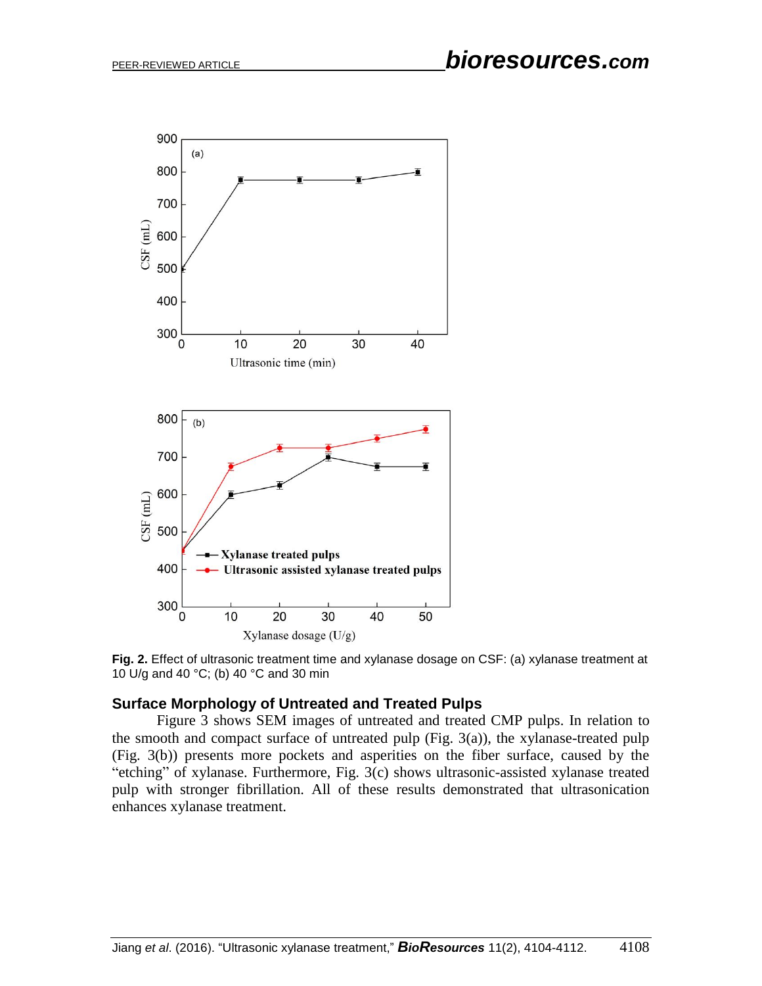

**Fig. 2.** Effect of ultrasonic treatment time and xylanase dosage on CSF: (a) xylanase treatment at 10 U/g and 40 °C; (b) 40 °C and 30 min

#### **Surface Morphology of Untreated and Treated Pulps**

Figure 3 shows SEM images of untreated and treated CMP pulps. In relation to the smooth and compact surface of untreated pulp (Fig.  $3(a)$ ), the xylanase-treated pulp (Fig. 3(b)) presents more pockets and asperities on the fiber surface, caused by the "etching" of xylanase. Furthermore, Fig. 3(c) shows ultrasonic-assisted xylanase treated pulp with stronger fibrillation. All of these results demonstrated that ultrasonication enhances xylanase treatment.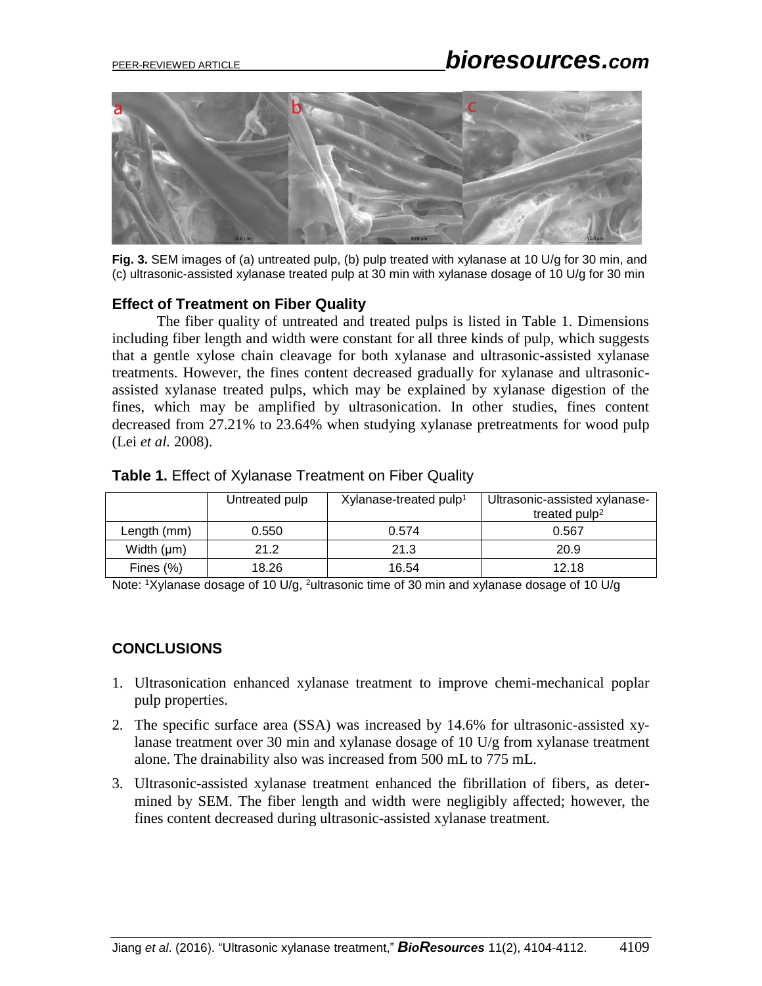

**Fig. 3.** SEM images of (a) untreated pulp, (b) pulp treated with xylanase at 10 U/g for 30 min, and (c) ultrasonic-assisted xylanase treated pulp at 30 min with xylanase dosage of 10 U/g for 30 min

## **Effect of Treatment on Fiber Quality**

The fiber quality of untreated and treated pulps is listed in Table 1. Dimensions including fiber length and width were constant for all three kinds of pulp, which suggests that a gentle xylose chain cleavage for both xylanase and ultrasonic-assisted xylanase treatments. However, the fines content decreased gradually for xylanase and ultrasonicassisted xylanase treated pulps, which may be explained by xylanase digestion of the fines, which may be amplified by ultrasonication. In other studies, fines content decreased from 27.21% to 23.64% when studying xylanase pretreatments for wood pulp (Lei *et al.* 2008).

|  | Table 1. Effect of Xylanase Treatment on Fiber Quality |
|--|--------------------------------------------------------|
|--|--------------------------------------------------------|

|                 | Untreated pulp | Xylanase-treated pulp <sup>1</sup> | Ultrasonic-assisted xylanase- |
|-----------------|----------------|------------------------------------|-------------------------------|
|                 |                |                                    | treated $pulp2$               |
| Length (mm)     | 0.550          | 0.574                              | 0.567                         |
| Width $(\mu m)$ | 21.2           | 21.3                               | 20.9                          |
| Fines $(\%)$    | 18.26          | 16.54                              | 12.18                         |

Note: 1Xylanase dosage of 10 U/g, <sup>2</sup>ultrasonic time of 30 min and xylanase dosage of 10 U/g

## **CONCLUSIONS**

- 1. Ultrasonication enhanced xylanase treatment to improve chemi-mechanical poplar pulp properties.
- 2. The specific surface area (SSA) was increased by 14.6% for ultrasonic-assisted xylanase treatment over 30 min and xylanase dosage of 10 U/g from xylanase treatment alone. The drainability also was increased from 500 mL to 775 mL.
- 3. Ultrasonic-assisted xylanase treatment enhanced the fibrillation of fibers, as determined by SEM. The fiber length and width were negligibly affected; however, the fines content decreased during ultrasonic-assisted xylanase treatment.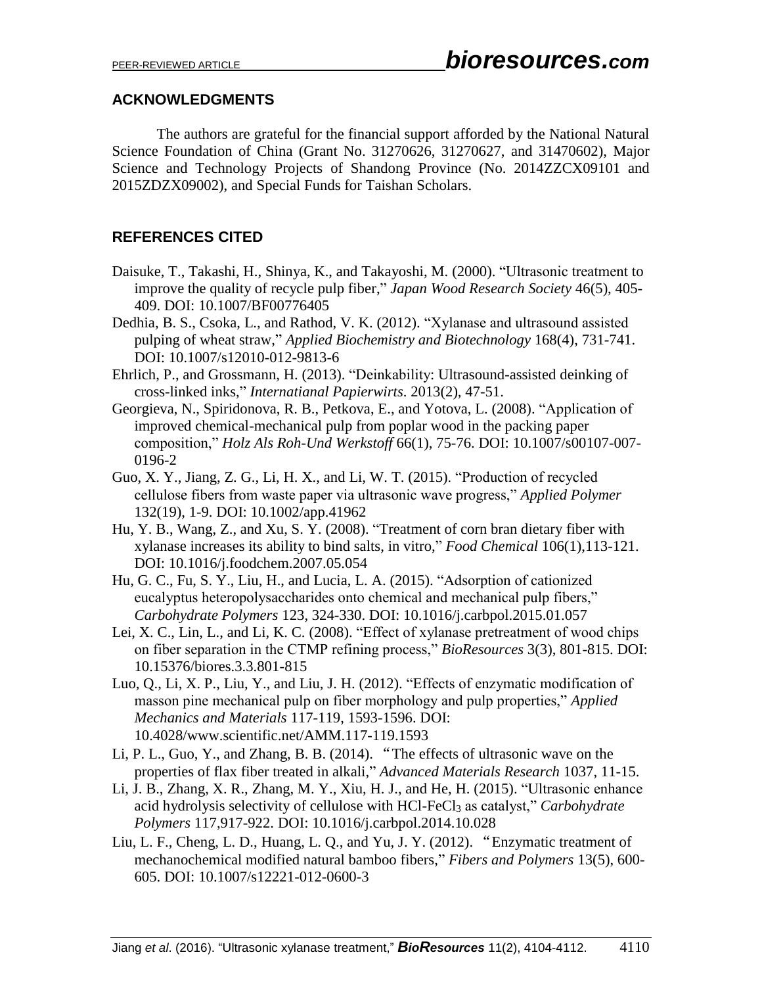## **ACKNOWLEDGMENTS**

The authors are grateful for the financial support afforded by the National Natural Science Foundation of China (Grant No. 31270626, 31270627, and 31470602), Major Science and Technology Projects of Shandong Province (No. 2014ZZCX09101 and 2015ZDZX09002), and Special Funds for Taishan Scholars.

## **REFERENCES CITED**

- Daisuke, T., Takashi, H., Shinya, K., and Takayoshi, M. (2000). "Ultrasonic treatment to improve the quality of recycle pulp fiber," *Japan Wood Research Society* 46(5), 405- 409. DOI: 10.1007/BF00776405
- Dedhia, B. S., Csoka, L., and Rathod, V. K. (2012). "Xylanase and ultrasound assisted pulping of wheat straw," *Applied Biochemistry and Biotechnology* 168(4), 731-741. DOI: 10.1007/s12010-012-9813-6
- Ehrlich, P., and Grossmann, H. (2013). "Deinkability: Ultrasound-assisted deinking of cross-linked inks," *Internatianal Papierwirts*. 2013(2), 47-51.
- Georgieva, N., Spiridonova, R. B., Petkova, E., and Yotova, L. (2008). "Application of improved chemical-mechanical pulp from poplar wood in the packing paper composition," *Holz Als Roh-Und Werkstoff* 66(1), 75-76. DOI: 10.1007/s00107-007- 0196-2
- Guo, X. Y., Jiang, Z. G., Li, H. X., and Li, W. T. (2015). "Production of recycled cellulose fibers from waste paper via ultrasonic wave progress," *Applied Polymer* 132(19), 1-9. DOI: 10.1002/app.41962
- Hu, Y. B., Wang, Z., and Xu, S. Y. (2008). "Treatment of corn bran dietary fiber with xylanase increases its ability to bind salts, in vitro," *Food Chemical* 106(1),113-121. DOI: 10.1016/j.foodchem.2007.05.054
- Hu, G. C., Fu, S. Y., Liu, H., and Lucia, L. A. (2015). "Adsorption of cationized eucalyptus heteropolysaccharides onto chemical and mechanical pulp fibers," *Carbohydrate Polymers* 123, 324-330. DOI: 10.1016/j.carbpol.2015.01.057
- Lei, X. C., Lin, L., and Li, K. C. (2008). "Effect of xylanase pretreatment of wood chips on fiber separation in the CTMP refining process," *BioResources* 3(3), 801-815. DOI: 10.15376/biores.3.3.801-815
- Luo, Q., Li, X. P., Liu, Y., and Liu, J. H. (2012). "Effects of enzymatic modification of masson pine mechanical pulp on fiber morphology and pulp properties," *Applied Mechanics and Materials* 117-119, 1593-1596. DOI: 10.4028/www.scientific.net/AMM.117-119.1593
- Li, P. L., Guo, Y., and Zhang, B. B. (2014). "The effects of ultrasonic wave on the properties of flax fiber treated in alkali," *Advanced Materials Research* 1037, 11-15.
- Li, J. B., Zhang, X. R., Zhang, M. Y., Xiu, H. J., and He, H. (2015). "Ultrasonic enhance acid hydrolysis selectivity of cellulose with HCl-FeCl<sub>3</sub> as catalyst," *Carbohydrate Polymers* 117,917-922. DOI: 10.1016/j.carbpol.2014.10.028
- Liu, L. F., Cheng, L. D., Huang, L. Q., and Yu, J. Y. (2012). "Enzymatic treatment of mechanochemical modified natural bamboo fibers," *Fibers and Polymers* 13(5), 600- 605. DOI: 10.1007/s12221-012-0600-3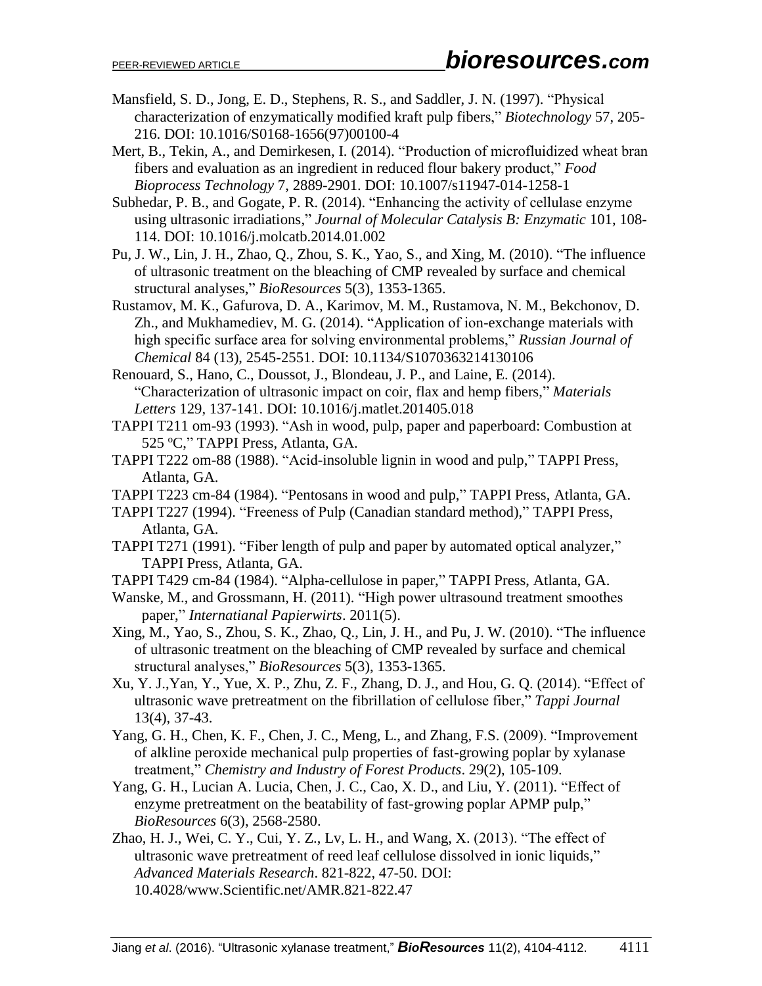- Mansfield, S. D., Jong, E. D., Stephens, R. S., and Saddler, J. N. (1997). "Physical characterization of enzymatically modified kraft pulp fibers," *Biotechnology* 57, 205- 216. DOI: 10.1016/S0168-1656(97)00100-4
- Mert, B., Tekin, A., and Demirkesen, I. (2014). "Production of microfluidized wheat bran fibers and evaluation as an ingredient in reduced flour bakery product," *Food Bioprocess Technology* 7, 2889-2901. DOI: 10.1007/s11947-014-1258-1
- Subhedar, P. B., and Gogate, P. R. (2014). "Enhancing the activity of cellulase enzyme using ultrasonic irradiations," *Journal of Molecular Catalysis B: Enzymatic* 101, 108- 114. DOI: 10.1016/j.molcatb.2014.01.002
- Pu, J. W., Lin, J. H., Zhao, Q., Zhou, S. K., Yao, S., and Xing, M. (2010). "The influence of ultrasonic treatment on the bleaching of CMP revealed by surface and chemical structural analyses," *BioResources* 5(3), 1353-1365.
- Rustamov, M. K., Gafurova, D. A., Karimov, M. M., Rustamova, N. M., Bekchonov, D. Zh., and Mukhamediev, M. G. (2014). "Application of ion-exchange materials with high specific surface area for solving environmental problems," *Russian Journal of Chemical* 84 (13), 2545-2551. DOI: 10.1134/S1070363214130106
- Renouard, S., Hano, C., Doussot, J., Blondeau, J. P., and Laine, E. (2014). "Characterization of ultrasonic impact on coir, flax and hemp fibers," *Materials Letters* 129, 137-141. DOI: 10.1016/j.matlet.201405.018
- TAPPI T211 om-93 (1993). "Ash in wood, pulp, paper and paperboard: Combustion at 525 °C," TAPPI Press, Atlanta, GA.
- TAPPI T222 om-88 (1988). "Acid-insoluble lignin in wood and pulp," TAPPI Press, Atlanta, GA.
- TAPPI T223 cm-84 (1984). "Pentosans in wood and pulp," TAPPI Press, Atlanta, GA.
- TAPPI T227 (1994). "Freeness of Pulp (Canadian standard method)," TAPPI Press, Atlanta, GA.
- TAPPI T271 (1991). "Fiber length of pulp and paper by automated optical analyzer," TAPPI Press, Atlanta, GA.
- TAPPI T429 cm-84 (1984). "Alpha-cellulose in paper," TAPPI Press, Atlanta, GA.
- Wanske, M., and Grossmann, H. (2011). "High power ultrasound treatment smoothes paper," *Internatianal Papierwirts*. 2011(5).
- Xing, M., Yao, S., Zhou, S. K., Zhao, Q., Lin, J. H., and Pu, J. W. (2010). "The influence of ultrasonic treatment on the bleaching of CMP revealed by surface and chemical structural analyses," *BioResources* 5(3), 1353-1365.
- Xu, Y. J.,Yan, Y., Yue, X. P., Zhu, Z. F., Zhang, D. J., and Hou, G. Q. (2014). "Effect of ultrasonic wave pretreatment on the fibrillation of cellulose fiber," *Tappi Journal* 13(4), 37-43.
- Yang, G. H., Chen, K. F., Chen, J. C., Meng, L., and Zhang, F.S. (2009). "Improvement of alkline peroxide mechanical pulp properties of fast-growing poplar by xylanase treatment," *Chemistry and Industry of Forest Products*. 29(2), 105-109.
- Yang, G. H., Lucian A. Lucia, Chen, J. C., Cao, X. D., and Liu, Y. (2011). "Effect of enzyme pretreatment on the beatability of fast-growing poplar APMP pulp," *BioResources* 6(3), 2568-2580.
- Zhao, H. J., Wei, C. Y., Cui, Y. Z., Lv, L. H., and Wang, X. (2013). "The effect of ultrasonic wave pretreatment of reed leaf cellulose dissolved in ionic liquids," *Advanced Materials Research*. 821-822, 47-50. DOI: 10.4028/www.Scientific.net/AMR.821-822.47